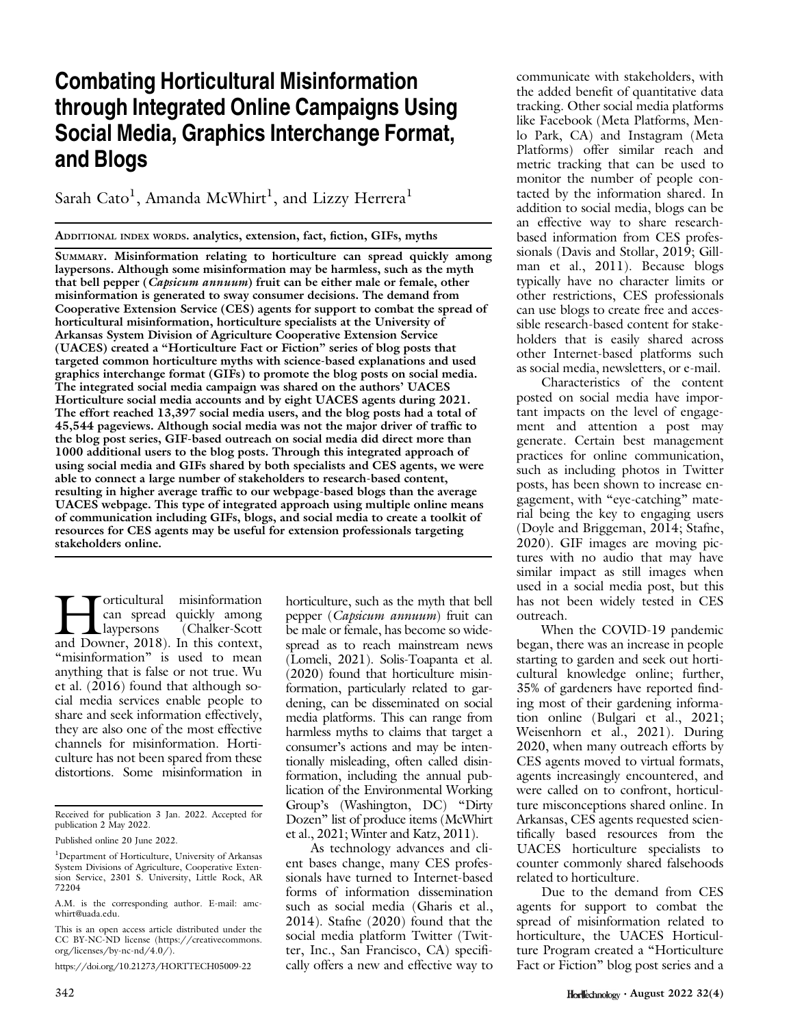# Combating Horticultural Misinformation through Integrated Online Campaigns Using Social Media, Graphics Interchange Format, and Blogs

Sarah Cato $^{\rm l}$ , Amanda McWhirt $^{\rm l}$ , and Lizzy Herrera $^{\rm l}$ 

ADDITIONAL INDEX WORDS. analytics, extension, fact, fiction, GIFs, myths

SUMMARY. Misinformation relating to horticulture can spread quickly among laypersons. Although some misinformation may be harmless, such as the myth that bell pepper (Capsicum annuum) fruit can be either male or female, other misinformation is generated to sway consumer decisions. The demand from Cooperative Extension Service (CES) agents for support to combat the spread of horticultural misinformation, horticulture specialists at the University of Arkansas System Division of Agriculture Cooperative Extension Service (UACES) created a "Horticulture Fact or Fiction" series of blog posts that targeted common horticulture myths with science-based explanations and used graphics interchange format (GIFs) to promote the blog posts on social media. The integrated social media campaign was shared on the authors' UACES Horticulture social media accounts and by eight UACES agents during 2021. The effort reached 13,397 social media users, and the blog posts had a total of 45,544 pageviews. Although social media was not the major driver of traffic to the blog post series, GIF-based outreach on social media did direct more than 1000 additional users to the blog posts. Through this integrated approach of using social media and GIFs shared by both specialists and CES agents, we were able to connect a large number of stakeholders to research-based content, resulting in higher average traffic to our webpage-based blogs than the average UACES webpage. This type of integrated approach using multiple online means of communication including GIFs, blogs, and social media to create a toolkit of resources for CES agents may be useful for extension professionals targeting stakeholders online.

**Horticultural misinformation**<br>Chalker-Scott<br>and Downer, 2018). In this context, can spread quickly among laypersons (Chalker-Scott "misinformation" is used to mean anything that is false or not true. Wu et al. (2016) found that although social media services enable people to share and seek information effectively, they are also one of the most effective channels for misinformation. Horticulture has not been spared from these distortions. Some misinformation in horticulture, such as the myth that bell pepper (Capsicum annuum) fruit can be male or female, has become so widespread as to reach mainstream news (Lomeli, 2021). Solis-Toapanta et al. (2020) found that horticulture misinformation, particularly related to gardening, can be disseminated on social media platforms. This can range from harmless myths to claims that target a consumer's actions and may be intentionally misleading, often called disinformation, including the annual publication of the Environmental Working Group's (Washington, DC) "Dirty Dozen" list of produce items (McWhirt et al., 2021; Winter and Katz, 2011).

As technology advances and client bases change, many CES professionals have turned to Internet-based forms of information dissemination such as social media (Gharis et al., 2014). Stafne (2020) found that the social media platform Twitter (Twitter, Inc., San Francisco, CA) specifically offers a new and effective way to

communicate with stakeholders, with the added benefit of quantitative data tracking. Other social media platforms like Facebook (Meta Platforms, Menlo Park, CA) and Instagram (Meta Platforms) offer similar reach and metric tracking that can be used to monitor the number of people contacted by the information shared. In addition to social media, blogs can be an effective way to share researchbased information from CES professionals (Davis and Stollar, 2019; Gillman et al., 2011). Because blogs typically have no character limits or other restrictions, CES professionals can use blogs to create free and accessible research-based content for stakeholders that is easily shared across other Internet-based platforms such as social media, newsletters, or e-mail.

Characteristics of the content posted on social media have important impacts on the level of engagement and attention a post may generate. Certain best management practices for online communication, such as including photos in Twitter posts, has been shown to increase engagement, with "eye-catching" material being the key to engaging users (Doyle and Briggeman, 2014; Stafne, 2020). GIF images are moving pictures with no audio that may have similar impact as still images when used in a social media post, but this has not been widely tested in CES outreach.

When the COVID-19 pandemic began, there was an increase in people starting to garden and seek out horticultural knowledge online; further, 35% of gardeners have reported finding most of their gardening information online (Bulgari et al., 2021; Weisenhorn et al., 2021). During 2020, when many outreach efforts by CES agents moved to virtual formats, agents increasingly encountered, and were called on to confront, horticulture misconceptions shared online. In Arkansas, CES agents requested scientifically based resources from the UACES horticulture specialists to counter commonly shared falsehoods related to horticulture.

Due to the demand from CES agents for support to combat the spread of misinformation related to horticulture, the UACES Horticulture Program created a "Horticulture Fact or Fiction" blog post series and a

Received for publication 3 Jan. 2022. Accepted for publication 2 May 2022.

Published online 20 June 2022.

<sup>&</sup>lt;sup>1</sup>Department of Horticulture, University of Arkansas System Divisions of Agriculture, Cooperative Extension Service, 2301 S. University, Little Rock, AR 72204

A.M. is the corresponding author. E-mail: [amc](mailto:amcwhirt@uada.edu)[whirt@uada.edu](mailto:amcwhirt@uada.edu).

This is an open access article distributed under the CC BY-NC-ND license ([https://creativecommons.](https://creativecommons.org/licenses/by-nc-nd/4.0/) [org/licenses/by-nc-nd/4.0/\)](https://creativecommons.org/licenses/by-nc-nd/4.0/).

<https://doi.org/10.21273/HORTTECH05009-22>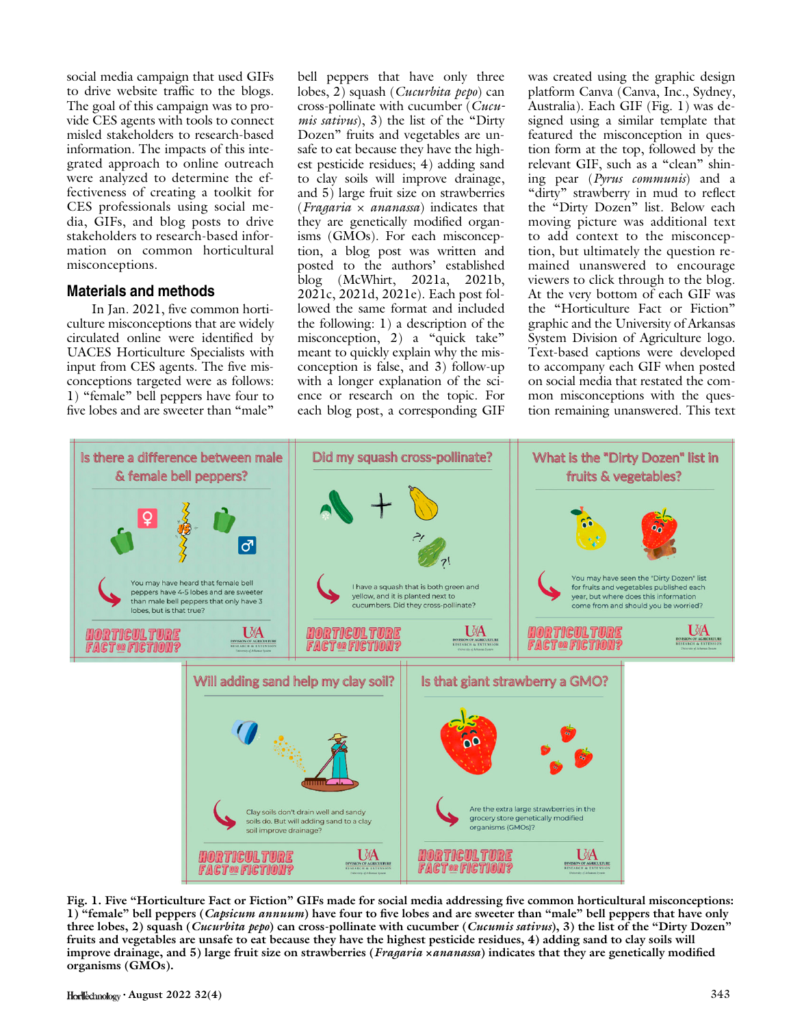social media campaign that used GIFs to drive website traffic to the blogs. The goal of this campaign was to provide CES agents with tools to connect misled stakeholders to research-based information. The impacts of this integrated approach to online outreach were analyzed to determine the effectiveness of creating a toolkit for CES professionals using social media, GIFs, and blog posts to drive stakeholders to research-based information on common horticultural misconceptions.

### Materials and methods

In Jan. 2021, five common horticulture misconceptions that are widely circulated online were identified by UACES Horticulture Specialists with input from CES agents. The five misconceptions targeted were as follows: 1) "female" bell peppers have four to five lobes and are sweeter than "male"

bell peppers that have only three lobes, 2) squash (*Cucurbita pepo*) can cross-pollinate with cucumber (*Cucumis sativus*), 3) the list of the "Dirty Dozen" fruits and vegetables are unsafe to eat because they have the highest pesticide residues; 4) adding sand to clay soils will improve drainage, and 5) large fruit size on strawberries (*Fragaria*  $\times$  *ananassa*) indicates that they are genetically modified organisms (GMOs). For each misconception, a blog post was written and posted to the authors' established blog (McWhirt, 2021a, 2021b, 2021c, 2021d, 2021e). Each post followed the same format and included the following: 1) a description of the misconception, 2) a "quick take" meant to quickly explain why the misconception is false, and 3) follow-up with a longer explanation of the science or research on the topic. For each blog post, a corresponding GIF

was created using the graphic design platform Canva (Canva, Inc., Sydney, Australia). Each GIF (Fig. 1) was designed using a similar template that featured the misconception in question form at the top, followed by the relevant GIF, such as a "clean" shining pear (Pyrus communis) and a "dirty" strawberry in mud to reflect the "Dirty Dozen" list. Below each moving picture was additional text to add context to the misconception, but ultimately the question remained unanswered to encourage viewers to click through to the blog. At the very bottom of each GIF was the "Horticulture Fact or Fiction" graphic and the University of Arkansas System Division of Agriculture logo. Text-based captions were developed to accompany each GIF when posted on social media that restated the common misconceptions with the question remaining unanswered. This text



Fig. 1. Five "Horticulture Fact or Fiction" GIFs made for social media addressing five common horticultural misconceptions: 1) "female" bell peppers (Capsicum annuum) have four to five lobes and are sweeter than "male" bell peppers that have only three lobes, 2) squash (Cucurbita pepo) can cross-pollinate with cucumber (Cucumis sativus), 3) the list of the "Dirty Dozen" fruits and vegetables are unsafe to eat because they have the highest pesticide residues, 4) adding sand to clay soils will improve drainage, and 5) large fruit size on strawberries (*Fragaria ×ananassa*) indicates that they are genetically modified organisms (GMOs).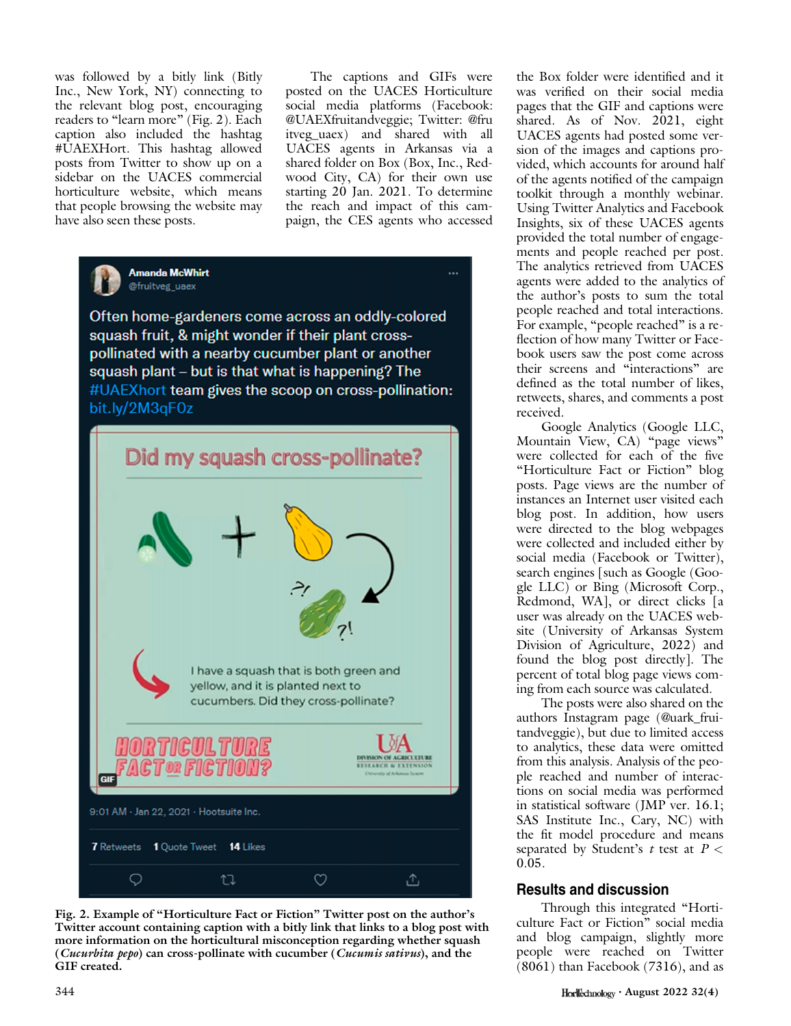was followed by a bitly link (Bitly Inc., New York, NY) connecting to the relevant blog post, encouraging readers to "learn more" (Fig. 2). Each caption also included the hashtag #UAEXHort. This hashtag allowed posts from Twitter to show up on a sidebar on the UACES commercial horticulture website, which means that people browsing the website may have also seen these posts.

The captions and GIFs were posted on the UACES Horticulture social media platforms (Facebook: @UAEXfruitandveggie; Twitter: @fru itveg\_uaex) and shared with all UACES agents in Arkansas via a shared folder on Box (Box, Inc., Redwood City, CA) for their own use starting 20 Jan. 2021. To determine the reach and impact of this campaign, the CES agents who accessed



Often home-gardeners come across an oddly-colored squash fruit, & might wonder if their plant crosspollinated with a nearby cucumber plant or another squash plant - but is that what is happening? The #UAEXhort team gives the scoop on cross-pollination: bit.ly/2M3qF0z



Fig. 2. Example of "Horticulture Fact or Fiction" Twitter post on the author's Twitter account containing caption with a bitly link that links to a blog post with more information on the horticultural misconception regarding whether squash (Cucurbita pepo) can cross-pollinate with cucumber (Cucumis sativus), and the GIF created.

the Box folder were identified and it was verified on their social media pages that the GIF and captions were shared. As of Nov. 2021, eight UACES agents had posted some version of the images and captions provided, which accounts for around half of the agents notified of the campaign toolkit through a monthly webinar. Using Twitter Analytics and Facebook Insights, six of these UACES agents provided the total number of engagements and people reached per post. The analytics retrieved from UACES agents were added to the analytics of the author's posts to sum the total people reached and total interactions. For example, "people reached" is a reflection of how many Twitter or Facebook users saw the post come across their screens and "interactions" are defined as the total number of likes, retweets, shares, and comments a post received.

Google Analytics (Google LLC, Mountain View, CA) "page views" were collected for each of the five "Horticulture Fact or Fiction" blog posts. Page views are the number of instances an Internet user visited each blog post. In addition, how users were directed to the blog webpages were collected and included either by social media (Facebook or Twitter), search engines [such as Google (Google LLC) or Bing (Microsoft Corp., Redmond, WA], or direct clicks [a user was already on the UACES website (University of Arkansas System Division of Agriculture, 2022) and found the blog post directly]. The percent of total blog page views coming from each source was calculated.

The posts were also shared on the authors Instagram page (@uark\_fruitandveggie), but due to limited access to analytics, these data were omitted from this analysis. Analysis of the people reached and number of interactions on social media was performed in statistical software (JMP ver. 16.1; SAS Institute Inc., Cary, NC) with the fit model procedure and means separated by Student's  $t$  test at  $P <$ 0.05.

# Results and discussion

Through this integrated "Horticulture Fact or Fiction" social media and blog campaign, slightly more people were reached on Twitter (8061) than Facebook (7316), and as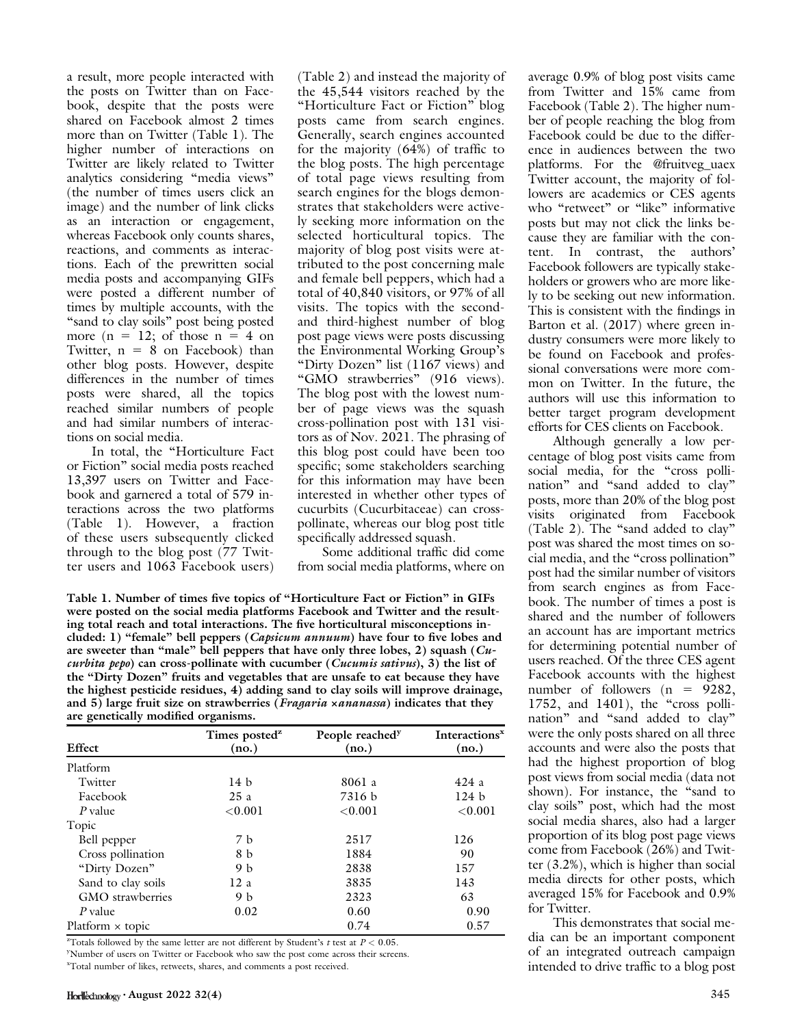a result, more people interacted with the posts on Twitter than on Facebook, despite that the posts were shared on Facebook almost 2 times more than on Twitter (Table 1). The higher number of interactions on Twitter are likely related to Twitter analytics considering "media views" (the number of times users click an image) and the number of link clicks as an interaction or engagement, whereas Facebook only counts shares, reactions, and comments as interactions. Each of the prewritten social media posts and accompanying GIFs were posted a different number of times by multiple accounts, with the "sand to clay soils" post being posted more  $(n = 12;$  of those  $n = 4$  on Twitter,  $n = 8$  on Facebook) than other blog posts. However, despite differences in the number of times posts were shared, all the topics reached similar numbers of people and had similar numbers of interactions on social media.

In total, the "Horticulture Fact or Fiction" social media posts reached 13,397 users on Twitter and Facebook and garnered a total of 579 interactions across the two platforms (Table 1). However, a fraction of these users subsequently clicked through to the blog post (77 Twitter users and 1063 Facebook users)

(Table 2) and instead the majority of the 45,544 visitors reached by the "Horticulture Fact or Fiction" blog posts came from search engines. Generally, search engines accounted for the majority (64%) of traffic to the blog posts. The high percentage of total page views resulting from search engines for the blogs demonstrates that stakeholders were actively seeking more information on the selected horticultural topics. The majority of blog post visits were attributed to the post concerning male and female bell peppers, which had a total of 40,840 visitors, or 97% of all visits. The topics with the secondand third-highest number of blog post page views were posts discussing the Environmental Working Group's "Dirty Dozen" list (1167 views) and "GMO strawberries" (916 views). The blog post with the lowest number of page views was the squash cross-pollination post with 131 visitors as of Nov. 2021. The phrasing of this blog post could have been too specific; some stakeholders searching for this information may have been interested in whether other types of cucurbits (Cucurbitaceae) can crosspollinate, whereas our blog post title specifically addressed squash.

Some additional traffic did come from social media platforms, where on

Table 1. Number of times five topics of "Horticulture Fact or Fiction" in GIFs were posted on the social media platforms Facebook and Twitter and the resulting total reach and total interactions. The five horticultural misconceptions included: 1) "female" bell peppers (Capsicum annuum) have four to five lobes and are sweeter than "male" bell peppers that have only three lobes, 2) squash (Cucurbita pepo) can cross-pollinate with cucumber (Cucumis sativus),  $3$ ) the list of the "Dirty Dozen" fruits and vegetables that are unsafe to eat because they have the highest pesticide residues, 4) adding sand to clay soils will improve drainage, and 5) large fruit size on strawberries (Fragaria <sup>×</sup>ananassa) indicates that they are genetically modified organisms.

| ັ                       | ັ<br>Times posted <sup>z</sup> |                                      | Interactions <sup>x</sup> |
|-------------------------|--------------------------------|--------------------------------------|---------------------------|
| Effect                  | (no.)                          | People reached <sup>y</sup><br>(no.) | (no.)                     |
| Platform                |                                |                                      |                           |
| Twitter                 | 14 b                           | 8061 a                               | 424a                      |
| Facebook                | 25a                            | 7316 b                               | 124 b                     |
| P value                 | ${<}0.001$                     | ${<}0.001$                           | ${<}0.001$                |
| Topic                   |                                |                                      |                           |
| Bell pepper             | 7 <sub>b</sub>                 | 2517                                 | 126                       |
| Cross pollination       | 8 b                            | 1884                                 | 90                        |
| "Dirty Dozen"           | 9 b                            | 2838                                 | 157                       |
| Sand to clay soils      | 12a                            | 3835                                 | 143                       |
| GMO strawberries        | 9 b                            | 2323                                 | 63                        |
| P value                 | 0.02                           | 0.60                                 | 0.90                      |
| $Platform \times topic$ |                                | 0.74                                 | 0.57                      |

<sup>2</sup>Totals followed by the same letter are not different by Student's t test at  $P < 0.05$ .

 $^2$ Totals followed by the same letter are not different by Student's  $t$  test at  $P < 0.05$ .<br>'Number of users on Twitter or Facebook who saw the post come across their screens.

x Total number of likes, retweets, shares, and comments a post received.

 $\text{Horl}$   $\text{Horl}$   $\text{Horl}$   $\text{Horl}$   $\text{Horl}$   $\text{Horl}$   $\text{Horl}$   $\text{Horl}$   $\text{Horl}$   $\text{Horl}$   $\text{Horl}$   $\text{Horl}$   $\text{Horl}$   $\text{Horl}$   $\text{Horl}$   $\text{Horl}$   $\text{Horl}$   $\text{Horl}$   $\text{Horl}$   $\text{Horl}$   $\text{Horl}$   $\text{Horl}$ 

average 0.9% of blog post visits came from Twitter and 15% came from Facebook (Table 2). The higher number of people reaching the blog from Facebook could be due to the difference in audiences between the two platforms. For the @fruitveg\_uaex Twitter account, the majority of followers are academics or CES agents who "retweet" or "like" informative posts but may not click the links because they are familiar with the content. In contrast, the authors' Facebook followers are typically stakeholders or growers who are more likely to be seeking out new information. This is consistent with the findings in Barton et al. (2017) where green industry consumers were more likely to be found on Facebook and professional conversations were more common on Twitter. In the future, the authors will use this information to better target program development efforts for CES clients on Facebook.

Although generally a low percentage of blog post visits came from social media, for the "cross pollination" and "sand added to clay" posts, more than 20% of the blog post visits originated from Facebook (Table 2). The "sand added to clay" post was shared the most times on social media, and the "cross pollination" post had the similar number of visitors from search engines as from Facebook. The number of times a post is shared and the number of followers an account has are important metrics for determining potential number of users reached. Of the three CES agent Facebook accounts with the highest number of followers  $(n = 9282)$ , 1752, and 1401), the "cross pollination" and "sand added to clay" were the only posts shared on all three accounts and were also the posts that had the highest proportion of blog post views from social media (data not shown). For instance, the "sand to clay soils" post, which had the most social media shares, also had a larger proportion of its blog post page views come from Facebook (26%) and Twitter (3.2%), which is higher than social media directs for other posts, which averaged 15% for Facebook and 0.9% for Twitter.

This demonstrates that social media can be an important component of an integrated outreach campaign intended to drive traffic to a blog post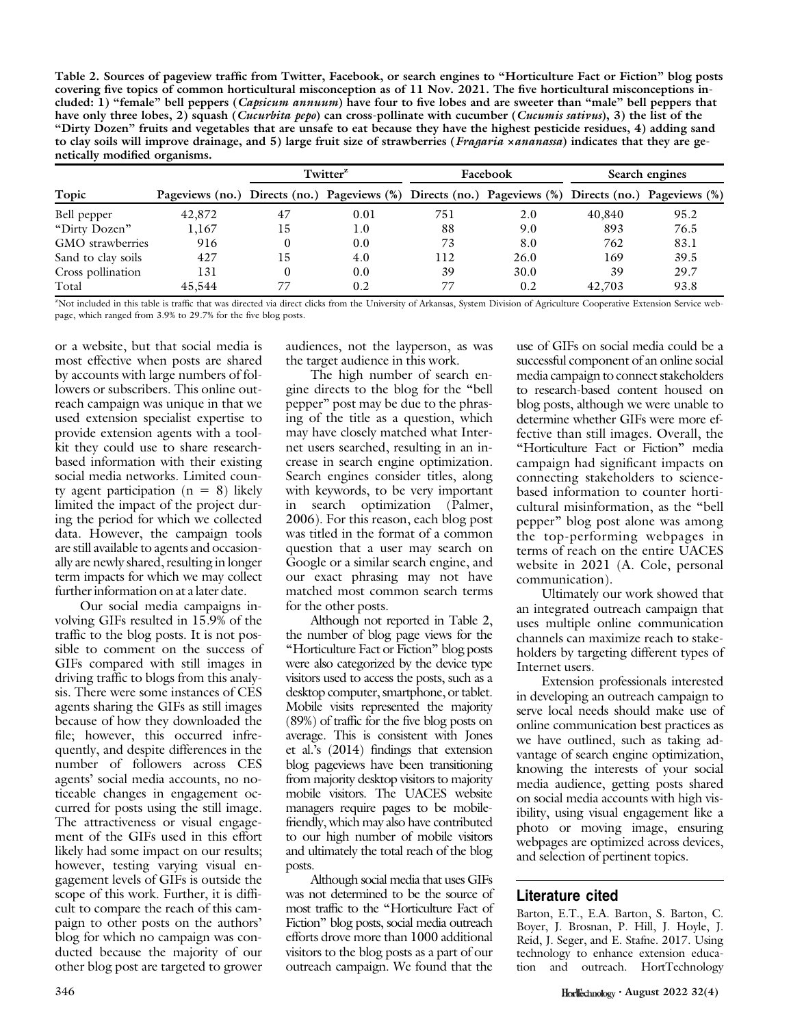Table 2. Sources of pageview traffic from Twitter, Facebook, or search engines to "Horticulture Fact or Fiction" blog posts covering five topics of common horticultural misconception as of 11 Nov. 2021. The five horticultural misconceptions included: 1) "female" bell peppers (*Capsicum annuum*) have four to five lobes and are sweeter than "male" bell peppers that have only three lobes, 2) squash (*Cucurbita pepo*) can cross-pollinate with cucumber (*Cucumis sativus*), 3) the list of the "Dirty Dozen" fruits and vegetables that are unsafe to eat because they have the highest pesticide residues, 4) adding sand to clay soils will improve drainage, and 5) large fruit size of strawberries (Fragaria xananassa) indicates that they are genetically modified organisms.

|                         |                                                                                                     | Twitter <sup>2</sup> |      | Facebook |      | Search engines |      |
|-------------------------|-----------------------------------------------------------------------------------------------------|----------------------|------|----------|------|----------------|------|
| Topic                   | Pageviews (no.) Directs (no.) Pageviews (%) Directs (no.) Pageviews (%) Directs (no.) Pageviews (%) |                      |      |          |      |                |      |
| Bell pepper             | 42,872                                                                                              | 47                   | 0.01 | 751      | 2.0  | 40,840         | 95.2 |
| "Dirty Dozen"           | 1,167                                                                                               | 15                   | 1.0  | 88       | 9.0  | 893            | 76.5 |
| <b>GMO</b> strawberries | 916                                                                                                 |                      | 0.0  | 73       | 8.0  | 762            | 83.1 |
| Sand to clay soils      | 427                                                                                                 | 15                   | 4.0  | 112      | 26.0 | 169            | 39.5 |
| Cross pollination       | 131                                                                                                 | $\Omega$             | 0.0  | 39       | 30.0 | 39             | 29.7 |
| Total                   | 45,544                                                                                              |                      | 0.2  | 77       | 0.2  | 42,703         | 93.8 |

z Not included in this table is traffic that was directed via direct clicks from the University of Arkansas, System Division of Agriculture Cooperative Extension Service webpage, which ranged from 3.9% to 29.7% for the five blog posts.

or a website, but that social media is most effective when posts are shared by accounts with large numbers of followers or subscribers. This online outreach campaign was unique in that we used extension specialist expertise to provide extension agents with a toolkit they could use to share researchbased information with their existing social media networks. Limited county agent participation  $(n = 8)$  likely limited the impact of the project during the period for which we collected data. However, the campaign tools are still available to agents and occasionally are newly shared, resulting in longer term impacts for which we may collect further information on at a later date.

Our social media campaigns involving GIFs resulted in 15.9% of the traffic to the blog posts. It is not possible to comment on the success of GIFs compared with still images in driving traffic to blogs from this analysis. There were some instances of CES agents sharing the GIFs as still images because of how they downloaded the file; however, this occurred infrequently, and despite differences in the number of followers across CES agents' social media accounts, no noticeable changes in engagement occurred for posts using the still image. The attractiveness or visual engagement of the GIFs used in this effort likely had some impact on our results; however, testing varying visual engagement levels of GIFs is outside the scope of this work. Further, it is difficult to compare the reach of this campaign to other posts on the authors' blog for which no campaign was conducted because the majority of our other blog post are targeted to grower

audiences, not the layperson, as was the target audience in this work.

The high number of search engine directs to the blog for the "bell pepper" post may be due to the phrasing of the title as a question, which may have closely matched what Internet users searched, resulting in an increase in search engine optimization. Search engines consider titles, along with keywords, to be very important in search optimization (Palmer, 2006). For this reason, each blog post was titled in the format of a common question that a user may search on Google or a similar search engine, and our exact phrasing may not have matched most common search terms for the other posts.

Although not reported in Table 2, the number of blog page views for the "Horticulture Fact or Fiction" blog posts were also categorized by the device type visitors used to access the posts, such as a desktop computer, smartphone, or tablet. Mobile visits represented the majority (89%) of traffic for the five blog posts on average. This is consistent with Jones et al.'s (2014) findings that extension blog pageviews have been transitioning from majority desktop visitors to majority mobile visitors. The UACES website managers require pages to be mobilefriendly, which may also have contributed to our high number of mobile visitors and ultimately the total reach of the blog posts.

Although social media that uses GIFs was not determined to be the source of most traffic to the "Horticulture Fact of Fiction" blog posts, social media outreach efforts drove more than 1000 additional visitors to the blog posts as a part of our outreach campaign. We found that the

use of GIFs on social media could be a successful component of an online social media campaign to connect stakeholders to research-based content housed on blog posts, although we were unable to determine whether GIFs were more effective than still images. Overall, the "Horticulture Fact or Fiction" media campaign had significant impacts on connecting stakeholders to sciencebased information to counter horticultural misinformation, as the "bell pepper" blog post alone was among the top-performing webpages in terms of reach on the entire UACES website in 2021 (A. Cole, personal communication).

Ultimately our work showed that an integrated outreach campaign that uses multiple online communication channels can maximize reach to stakeholders by targeting different types of Internet users.

Extension professionals interested in developing an outreach campaign to serve local needs should make use of online communication best practices as we have outlined, such as taking advantage of search engine optimization, knowing the interests of your social media audience, getting posts shared on social media accounts with high visibility, using visual engagement like a photo or moving image, ensuring webpages are optimized across devices, and selection of pertinent topics.

## Literature cited

Barton, E.T., E.A. Barton, S. Barton, C. Boyer, J. Brosnan, P. Hill, J. Hoyle, J. Reid, J. Seger, and E. Stafne. 2017. Using technology to enhance extension education and outreach. HortTechnology